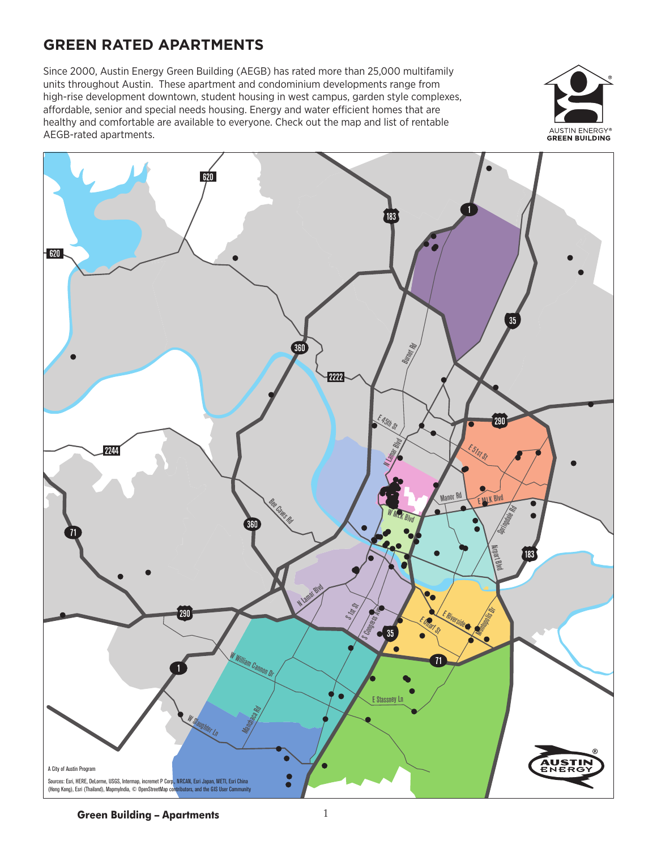# **GREEN RATED APARTMENTS**

Since 2000, Austin Energy Green Building (AEGB) has rated more than 25,000 multifamily units throughout Austin. These apartment and condominium developments range from high-rise development downtown, student housing in west campus, garden style complexes, affordable, senior and special needs housing. Energy and water efficient homes that are healthy and comfortable are available to everyone. Check out the map and list of rentable AEGB-rated apartments.





**Green Building - Apartments** 1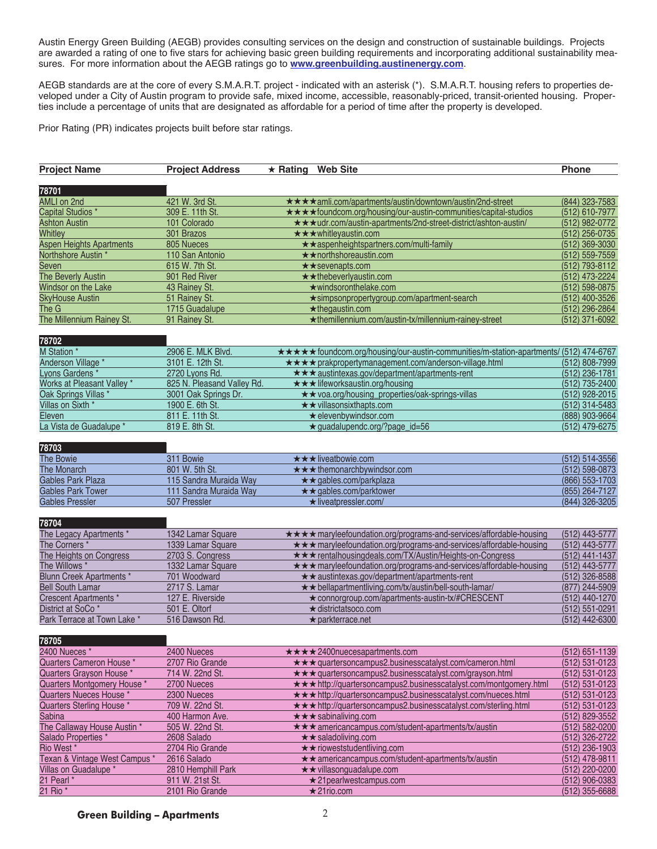Austin Energy Green Building (AEGB) provides consulting services on the design and construction of sustainable buildings. Projects are awarded a rating of one to five stars for achieving basic green building requirements and incorporating additional sustainability measures. For more information about the AEGB ratings go to **www.greenbuilding.austinenergy.com**.

AEGB standards are at the core of every S.M.A.R.T. project - indicated with an asterisk (\*). S.M.A.R.T. housing refers to properties developed under a City of Austin program to provide safe, mixed income, accessible, reasonably-priced, transit-oriented housing. Properties include a percentage of units that are designated as affordable for a period of time after the property is developed.

Prior Rating (PR) indicates projects built before star ratings.

| <b>Project Name</b>             | <b>Project Address</b>     | $\star$ Rating Web Site |                                                                                        | <b>Phone</b>       |                |
|---------------------------------|----------------------------|-------------------------|----------------------------------------------------------------------------------------|--------------------|----------------|
|                                 |                            |                         |                                                                                        |                    |                |
| 78701                           |                            |                         |                                                                                        |                    |                |
| <b>AMLI on 2nd</b>              | 421 W. 3rd St.             |                         | ★★★★amli.com/apartments/austin/downtown/austin/2nd-street                              | (844) 323-7583     |                |
| Capital Studios *               | 309 E. 11th St.            |                         | ★★★★foundcom.org/housing/our-austin-communities/capital-studios                        | (512) 610-7977     |                |
| <b>Ashton Austin</b>            | 101 Colorado               |                         | ★★★udr.com/austin-apartments/2nd-street-district/ashton-austin/                        | (512) 982-0772     |                |
| Whitley                         | 301 Brazos                 |                         | ★★★whitleyaustin.com                                                                   | (512) 256-0735     |                |
| <b>Aspen Heights Apartments</b> | 805 Nueces                 |                         | ★ ★ aspenheightspartners.com/multi-family                                              | $(512)$ 369-3030   |                |
| Northshore Austin*              | 110 San Antonio            |                         | ★ ★ northshoreaustin.com                                                               | (512) 559-7559     |                |
| Seven                           | 615 W. 7th St.             |                         | ** sevenapts.com                                                                       | (512) 793-8112     |                |
| The Beverly Austin              | 901 Red River              |                         | ** the beverly austin.com                                                              | (512) 473-2224     |                |
| Windsor on the Lake             | 43 Rainey St.              |                         | ★windsoronthelake.com                                                                  | $(512) 598 - 0875$ |                |
| <b>SkyHouse Austin</b>          | 51 Rainey St.              |                         | *simpsonpropertygroup.com/apartment-search                                             | (512) 400-3526     |                |
| The G                           | 1715 Guadalupe             |                         | $\star$ thegaustin.com                                                                 | (512) 296-2864     |                |
| The Millennium Rainey St.       | 91 Rainey St.              |                         | *themillennium.com/austin-tx/millennium-rainey-street                                  | (512) 371-6092     |                |
| 78702                           |                            |                         |                                                                                        |                    |                |
| M Station *                     | 2906 E. MLK Blvd.          |                         | ***** foundcom.org/housing/our-austin-communities/m-station-apartments/ (512) 474-6767 |                    |                |
| Anderson Village *              | 3101 E. 12th St.           |                         | ★★★★ prakpropertymanagement.com/anderson-village.html                                  | (512) 808-7999     |                |
| Lyons Gardens <sup>*</sup>      | 2720 Lyons Rd.             |                         | ★★★ austintexas.gov/department/apartments-rent                                         | (512) 236-1781     |                |
| Works at Pleasant Valley *      | 825 N. Pleasand Valley Rd. |                         | ★★★ lifeworksaustin.org/housing                                                        | (512) 735-2400     |                |
| Oak Springs Villas *            | 3001 Oak Springs Dr.       |                         | ★★ voa.org/housing_properties/oak-springs-villas                                       | (512) 928-2015     |                |
| Villas on Sixth *               | 1900 E. 6th St.            |                         | ★★ villasonsixthapts.com                                                               | (512) 314-5483     |                |
| Eleven                          | 811 E. 11th St.            |                         | ★ elevenbywindsor.com                                                                  | (888) 903-9664     |                |
| La Vista de Guadalupe *         | 819 E. 8th St.             |                         | $\star$ quadalupendc.org/?page id=56                                                   | (512) 479-6275     |                |
| 78703                           |                            |                         |                                                                                        |                    |                |
|                                 | 311 Bowie                  |                         | ★★★ liveatbowie.com                                                                    | (512) 514-3556     |                |
| The Bowie<br>The Monarch        | 801 W. 5th St.             |                         | ★★★ themonarchbywindsor.com                                                            | $(512) 598 - 0873$ |                |
| <b>Gables Park Plaza</b>        | 115 Sandra Muraida Way     |                         |                                                                                        | (866) 553-1703     |                |
| <b>Gables Park Tower</b>        | 111 Sandra Muraida Way     |                         | ★★ gables.com/parkplaza<br>★★ gables.com/parktower                                     | (855) 264-7127     |                |
| <b>Gables Pressler</b>          | 507 Pressler               |                         | ★ liveatpressler.com/                                                                  | (844) 326-3205     |                |
|                                 |                            |                         |                                                                                        |                    |                |
| 78704                           |                            |                         |                                                                                        |                    |                |
| The Legacy Apartments *         | 1342 Lamar Square          |                         | ★★★★ maryleefoundation.org/programs-and-services/affordable-housing                    | (512) 443-5777     |                |
| The Corners *                   | 1339 Lamar Square          |                         | ★ ★ maryleefoundation.org/programs-and-services/affordable-housing                     | (512) 443-5777     |                |
| The Heights on Congress         | 2703 S. Congress           |                         | ★★★ rentalhousingdeals.com/TX/Austin/Heights-on-Congress                               | (512) 441-1437     |                |
| The Willows *                   | 1332 Lamar Square          |                         | ★★★ maryleefoundation.org/programs-and-services/affordable-housing                     | (512) 443-5777     |                |
| <b>Blunn Creek Apartments *</b> | 701 Woodward               |                         | ** austintexas.gov/department/apartments-rent                                          | (512) 326-8588     |                |
| <b>Bell South Lamar</b>         | 2717 S. Lamar              |                         | ★★ bellapartmentliving.com/tx/austin/bell-south-lamar/                                 | (877) 244-5909     |                |
| Crescent Apartments *           | 127 E. Riverside           |                         | ★ connorgroup.com/apartments-austin-tx/#CRESCENT                                       | (512) 440-1270     |                |
| District at SoCo <sup>*</sup>   | 501 E. Oltorf              |                         | ★ districtatsoco.com                                                                   | (512) 551-0291     |                |
| Park Terrace at Town Lake *     | 516 Dawson Rd.             |                         | $\star$ parkterrace.net                                                                | (512) 442-6300     |                |
|                                 |                            |                         |                                                                                        |                    |                |
| 78705                           |                            |                         |                                                                                        |                    |                |
| 2400 Nueces *                   | 2400 Nueces                |                         | ★★★★2400nuecesapartments.com                                                           | $(512)$ 651-1139   |                |
| Quarters Cameron House *        | 2707 Rio Grande            |                         | ★★★ quartersoncampus2.businesscatalyst.com/cameron.html                                | $(512) 531 - 0123$ |                |
| Quarters Gravson House *        | 714 W. 22nd St.            |                         | ★★★ quartersoncampus2.businesscatalyst.com/grayson.html                                | $(512) 531 - 0123$ |                |
| Quarters Montgomery House *     | 2700 Nueces                |                         | ★★★ http://quartersoncampus2.businesscatalyst.com/montgomery.html                      | $(512) 531 - 0123$ |                |
| Quarters Nueces House *         | 2300 Nueces                |                         | ★★★ http://quartersoncampus2.businesscatalyst.com/nueces.html                          | $(512) 531 - 0123$ |                |
| Quarters Sterling House *       | 709 W. 22nd St.            |                         | ★★★ http://quartersoncampus2.businesscatalyst.com/sterling.html                        | $(512) 531 - 0123$ |                |
| <b>Sabina</b>                   | 400 Harmon Ave.            |                         | *** sabinaliving.com                                                                   | (512) 829-3552     |                |
| The Callaway House Austin *     | 505 W. 22nd St.            |                         | ★★★ americancampus.com/student-apartments/tx/austin                                    | (512) 582-0200     |                |
| Salado Properties*              | 2608 Salado                |                         | ★★ saladoliving.com                                                                    | (512) 326-2722     |                |
| Rio West *                      | 2704 Rio Grande            |                         | ★★ rioweststudentliving.com                                                            | $(512)$ 236-1903   |                |
| Texan & Vintage West Campus *   | 2616 Salado                |                         | ** americancampus.com/student-apartments/tx/austin                                     | (512) 478-9811     |                |
| Villas on Guadalupe *           | 2810 Hemphill Park         |                         | ★★ villasonguadalupe.com                                                               | (512) 220-0200     |                |
| 21 Pearl *                      | 911 W. 21st St.            |                         | $\star$ 21 pearlwest campus.com                                                        | $(512)$ 906-0383   |                |
| 21 Rio *                        | 2101 Rio Grande            |                         | $\star$ 21rio.com                                                                      |                    | (512) 355-6688 |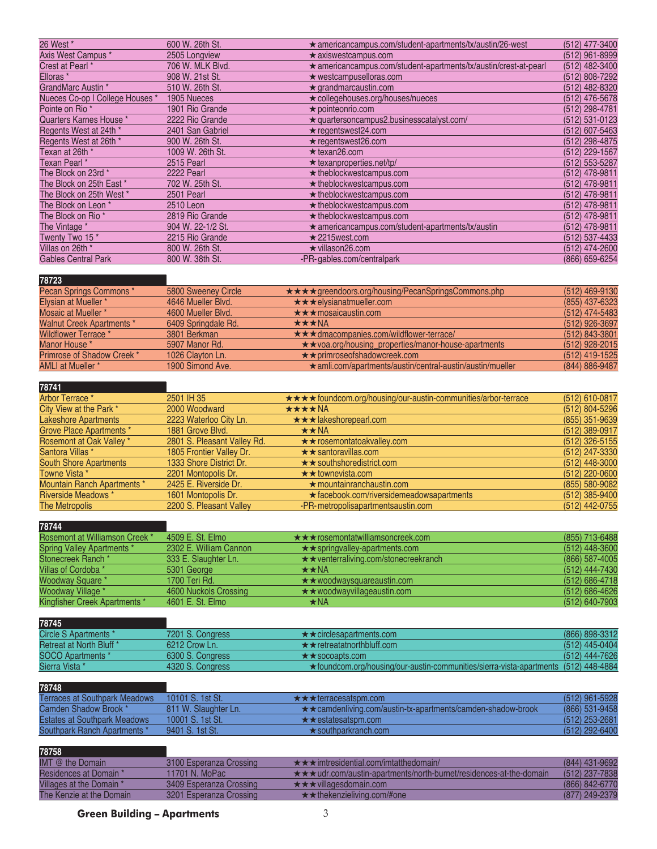| 26 West *                       | 600 W. 26th St.   | ★ americancampus.com/student-apartments/tx/austin/26-west        | (512) 477-3400 |
|---------------------------------|-------------------|------------------------------------------------------------------|----------------|
| Axis West Campus*               | 2505 Longview     | $\star$ axiswestcampus.com                                       | (512) 961-8999 |
| Crest at Pearl *                | 706 W. MLK Blvd.  | ★ americancampus.com/student-apartments/tx/austin/crest-at-pearl | (512) 482-3400 |
| Elloras <sup>*</sup>            | 908 W. 21st St.   | $\star$ westcampuselloras.com                                    | (512) 808-7292 |
| GrandMarc Austin *              | 510 W. 26th St.   | $\star$ grandmarcaustin.com                                      | (512) 482-8320 |
| Nueces Co-op I College Houses * | 1905 Nueces       | ★ collegehouses.org/houses/nueces                                | (512) 476-5678 |
| Pointe on Rio *                 | 1901 Rio Grande   | $\star$ pointeonrio.com                                          | (512) 298-4781 |
| Quarters Karnes House *         | 2222 Rio Grande   | $\star$ quartersoncampus2.businesscatalyst.com/                  | (512) 531-0123 |
| Regents West at 24th *          | 2401 San Gabriel  | $\star$ regentswest24.com                                        | (512) 607-5463 |
| Regents West at 26th *          | 900 W. 26th St.   | $\star$ regentswest26.com                                        | (512) 298-4875 |
| Texan at 26th *                 | 1009 W. 26th St.  | $\star$ texan26.com                                              | (512) 229-1567 |
| Texan Pearl *                   | 2515 Pearl        | $\star$ texanproperties.net/tp/                                  | (512) 553-5287 |
| The Block on 23rd *             | 2222 Pearl        | $\star$ theblockwestcampus.com                                   | (512) 478-9811 |
| The Block on 25th East *        | 702 W. 25th St.   | $\star$ theblockwestcampus.com                                   | (512) 478-9811 |
| The Block on 25th West *        | 2501 Pearl        | $\star$ theblockwestcampus.com                                   | (512) 478-9811 |
| The Block on Leon *             | 2510 Leon         | $\star$ theblockwestcampus.com                                   | (512) 478-9811 |
| The Block on Rio <sup>*</sup>   | 2819 Rio Grande   | $\star$ theblockwestcampus.com                                   | (512) 478-9811 |
| The Vintage *                   | 904 W. 22-1/2 St. | $\star$ americancampus.com/student-apartments/tx/austin          | (512) 478-9811 |
| Twenty Two 15*                  | 2215 Rio Grande   | $\star$ 2215 west.com                                            | (512) 537-4433 |
| Villas on 26th *                | 800 W. 26th St.   | $\star$ villason26.com                                           | (512) 474-2600 |
| <b>Gables Central Park</b>      | 800 W. 38th St.   | -PR-gables.com/centralpark                                       | (866) 659-6254 |
|                                 |                   |                                                                  |                |

### **78723**

| Pecan Springs Commons *          | 5800 Sweeney Circle | <b>★★★★</b> greendoors.org/housing/PecanSpringsCommons.php       | (512) 469-9130   |
|----------------------------------|---------------------|------------------------------------------------------------------|------------------|
| Elysian at Mueller *             | 4646 Mueller Blvd.  | $\star \star \star$ elysianatmueller.com                         | (855) 437-6323   |
| Mosaic at Mueller *              | 4600 Mueller Blvd.  | $\star \star \star$ mosaicaustin.com                             | (512) 474-5483   |
| <b>Walnut Creek Apartments *</b> | 6409 Springdale Rd. | $\star\star\star$ NA                                             | (512) 926-3697   |
| <b>Wildflower Terrace</b> *      | 3801 Berkman        | $\star \star \star$ dmacompanies.com/wildflower-terrace/         | $(512)$ 843-3801 |
| Manor House *                    | 5907 Manor Rd.      | ★★voa.org/housing_properties/manor-house-apartments              | (512) 928-2015   |
| Primrose of Shadow Creek *       | 1026 Clayton Ln.    | ★★primroseofshadowcreek.com                                      | (512) 419-1525   |
| <b>AMLI at Mueller *</b>         | 1900 Simond Ave.    | $\star$ amli.com/apartments/austin/central-austin/austin/mueller | (844) 886-9487   |

#### **78741**

| .                             |                             |                                                                       |                  |
|-------------------------------|-----------------------------|-----------------------------------------------------------------------|------------------|
| Arbor Terrace *               | 2501 IH 35                  | <b>★★★★</b> foundcom.org/housing/our-austin-communities/arbor-terrace | $(512)$ 610-0817 |
| City View at the Park *       | 2000 Woodward               | ★★★★NA                                                                | (512) 804-5296   |
| <b>Lakeshore Apartments</b>   | 2223 Waterloo City Ln.      | $\star \star \star$ lakeshorepearl.com                                | (855) 351-9639   |
| Grove Place Apartments *      | 1881 Grove Blvd.            | $\star\star$ NA                                                       | $(512)$ 389-0917 |
| Rosemont at Oak Valley *      | 2801 S. Pleasant Valley Rd. | $\star \star$ rosemontatoakvalley.com                                 | $(512)$ 326-5155 |
| Santora Villas *              | 1805 Frontier Valley Dr.    | $\star \star$ santoravillas.com                                       | (512) 247-3330   |
| <b>South Shore Apartments</b> | 1333 Shore District Dr.     | $\star \star$ southshoredistrict.com                                  | $(512)$ 448-3000 |
| Towne Vista *                 | 2201 Montopolis Dr.         | $\star\star$ townevista.com                                           | $(512)$ 220-0600 |
| Mountain Ranch Apartments *   | 2425 E. Riverside Dr.       | $\star$ mountainranchaustin.com                                       | (855) 580-9082   |
| <b>Riverside Meadows *</b>    | 1601 Montopolis Dr.         | ★ facebook.com/riversidemeadowsapartments                             | $(512)$ 385-9400 |
| The Metropolis                | 2200 S. Pleasant Valley     | -PR-metropolisapartmentsaustin.com                                    | (512) 442-0755   |

## **78744**

| Rosemont at Williamson Creek *       | 4509 E. St. Elmo       | $\star \star \star$ rosemontatwilliamsoncreek.com | (855) 713-6488 |
|--------------------------------------|------------------------|---------------------------------------------------|----------------|
| <b>Spring Valley Apartments *</b>    | 2302 E. William Cannon | $\star\star$ springvalley-apartments.com          | (512) 448-3600 |
| Stonecreek Ranch *                   | 333 E. Slaughter Ln.   | $\star\star$ venterraliving.com/stonecreekranch   | (866) 587-4005 |
| Villas of Cordoba *                  | 5301 George            | $\star\star$ NA                                   | (512) 444-7430 |
| <b>Woodway Square *</b>              | 1700 Teri Rd.          | $\star\star$ woodwaysquareaustin.com              | (512) 686-4718 |
| Woodway Village *                    | 4600 Nuckols Crossing  | $\star\star$ woodwayvillageaustin.com             | (512) 686-4626 |
| <b>Kingfisher Creek Apartments *</b> | 4601 E. St. Elmo       | $\star$ NA                                        | (512) 640-7903 |

**78745**

| Circle S Apartments *    | 7201 S. Congress | $\star \star$ circlesapartments.com                                                 | (866) 898-3312 |
|--------------------------|------------------|-------------------------------------------------------------------------------------|----------------|
| Retreat at North Bluff * | $6212$ Crow I n. | $\star \star$ retreatatnorthbluff.com                                               | (512) 445-0404 |
| <b>SOCO Apartments</b> * | 6300 S. Congress | $\star \star$ socoapts.com                                                          | (512) 444-7626 |
| Sierra Vista *           | 4320 S. Congress | ★foundcom.org/housing/our-austin-communities/sierra-vista-apartments (512) 448-4884 |                |

#### **78748**

| ----                                 |                      |                                                                        |                  |
|--------------------------------------|----------------------|------------------------------------------------------------------------|------------------|
| <b>Terraces at Southpark Meadows</b> | 10101 S. 1st St.     | $\star \star \star$ terracesatsom.com                                  | (512) 961-5928   |
| Camden Shadow Brook *                | 811 W. Slaughter Ln. | $\star\star$ camdenliving.com/austin-tx-apartments/camden-shadow-brook | (866) 531-9458   |
| <b>Estates at Southpark Meadows</b>  | 10001 S. 1st St.     | $\star \star$ estates at spm.com                                       | $(512)$ 253-2681 |
| Southpark Ranch Apartments *         | 9401 S. 1st St.      | $\star$ southparkranch.com                                             | (512) 292-6400   |

| 78758                    |                         |                                                                           |                  |
|--------------------------|-------------------------|---------------------------------------------------------------------------|------------------|
| IMT $@$ the Domain       | 3100 Esperanza Crossing | $\star \star \star$ imtresidential.com/imtatthedomain/                    | (844) 431-9692   |
| Residences at Domain *   | 11701 N. MoPac          | <b>★★★udr.com/austin-apartments/north-burnet/residences-at-the-domain</b> | $(512)$ 237-7838 |
| Villages at the Domain * | 3409 Esperanza Crossing | $\star \star \star$ villages domain.com                                   | (866) 842-6770   |
| The Kenzie at the Domain | 3201 Esperanza Crossing | $\star \star$ the kenzieliving.com/#one                                   | (877) 249-2379   |